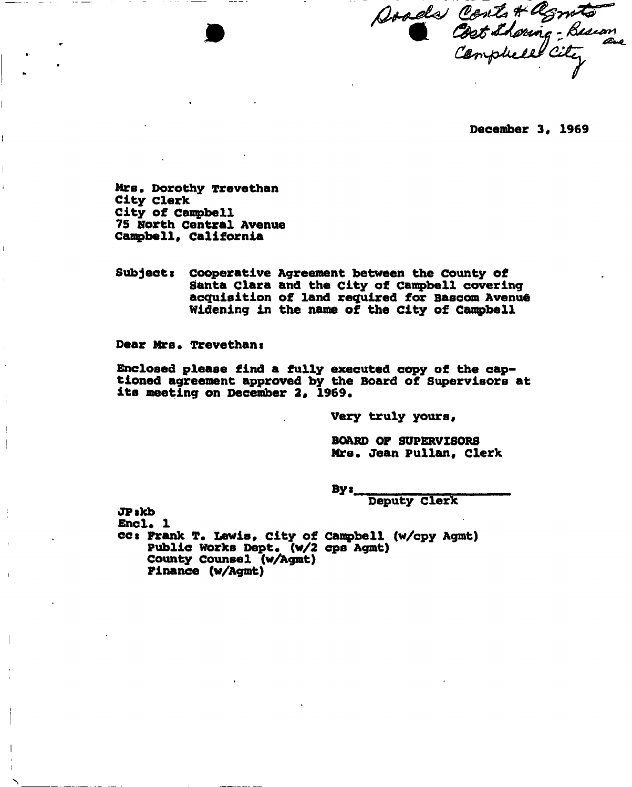Doods Conts & Agnets<br>Cost Shoring - Busian

**December 3, 1969** 

**Mrs, Dorothy Trevethan City clerk City of Campbell 75 North Central Avenue Campbell, California** 

 $\mathbf{I}$ 

**Subjects cooperative Agreement between the County of Santa Clara and the City of Campbell covering**  acquisition of land required for Bascom Avenue **Widening in the name of the City of Canqpbell** 

**Dear Mrs. Trevethans** 

**Enclosed please find a fully executed copy of the captioned agreement approved by the Board of Supervisors at its meeting on December 2, 1969.** 

**Very truly yours,** 

**BOARD OF SUPERVISORS Mrs. Jean Pullan, clerk** 

**By«** 

**Deputy Clerk** 

**JPikb Encl. 1 cct Frank T. Lewis, city of Canpbell (w/cpy Agmt) Public works Dept. (w/2 cps Agmt) County Counsel (w/Agmt) Finance (w/Agmt)**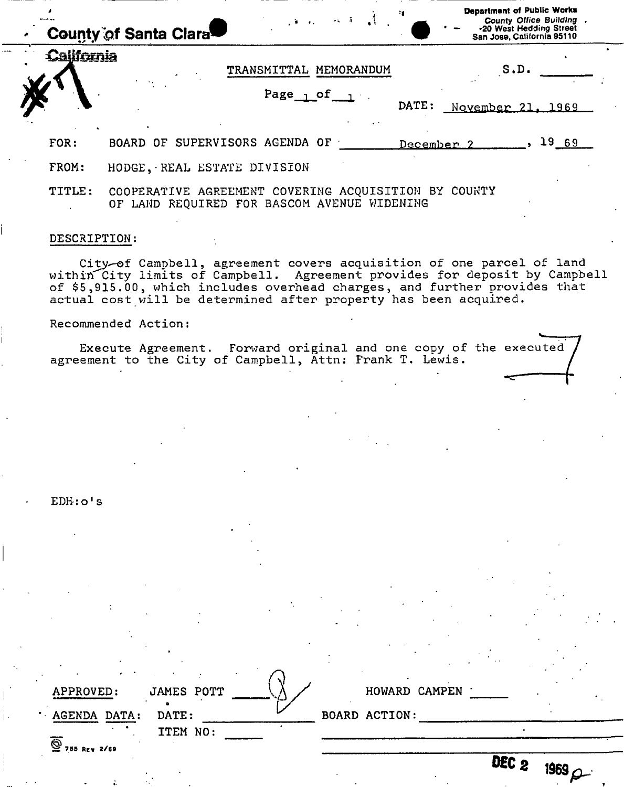|            | <b>County of Santa Clara</b>   |                   | $\mathcal{L}^{\mathcal{A}}(\mathcal{A},\mathcal{A})=\mathcal{L}^{\mathcal{A}}(\mathcal{A},\mathcal{A})=\mathcal{L}^{\mathcal{A}}(\mathcal{A},\mathcal{A})$ |                       | <b>Department of Public Works</b><br>County Office Building .<br>-20 West Hedding Street<br>San Jose, California 95110 |  |
|------------|--------------------------------|-------------------|------------------------------------------------------------------------------------------------------------------------------------------------------------|-----------------------|------------------------------------------------------------------------------------------------------------------------|--|
| California |                                | TRANSMITTAL       | MEMORANDUM                                                                                                                                                 |                       | S.D.                                                                                                                   |  |
|            |                                | Page $_0$ of $_1$ |                                                                                                                                                            | DATE:                 | November 21, 1969                                                                                                      |  |
| FOR:       | BOARD OF SUPERVISORS AGENDA OF |                   |                                                                                                                                                            | December <sub>2</sub> | 1969                                                                                                                   |  |
| FROM:      | HODGE, REAL ESTATE DIVISION    |                   |                                                                                                                                                            |                       |                                                                                                                        |  |

TITLE: COOPERATIVE AGREEMENT COVERING ACQUISITION BY COUNTY OF LAND REQUIRED FOR BASCOM AVENUE WIDENING

#### DESCRIPTION:

City-of Campbell, agreement covers acquisition of one parcel of land within City limits of Campbell. Agreement provides for deposit by Campbell of \$5,915.00, which includes overhead charges, and further provides that actual cost will be determined after property has been acquired.

Recommended Action:

Execute Agreement. Forward original and one copy of the executed agreement to the City of Campbell, Attn: Frank T. Lewis.

EDH-: o<sup>1</sup> s

| APPROVED:         | <b>JAMES POTT</b> | HOWARD CAMPEN        |
|-------------------|-------------------|----------------------|
| AGENDA DATA:      | DATE:             | <b>BOARD ACTION:</b> |
|                   | ITEM NO:          |                      |
| ভ<br>755 REV 2/69 |                   |                      |

| HOWARD CAMPEN |  |
|---------------|--|
|               |  |
|               |  |

**0 6 <sup>0</sup> 2 id69** *P-*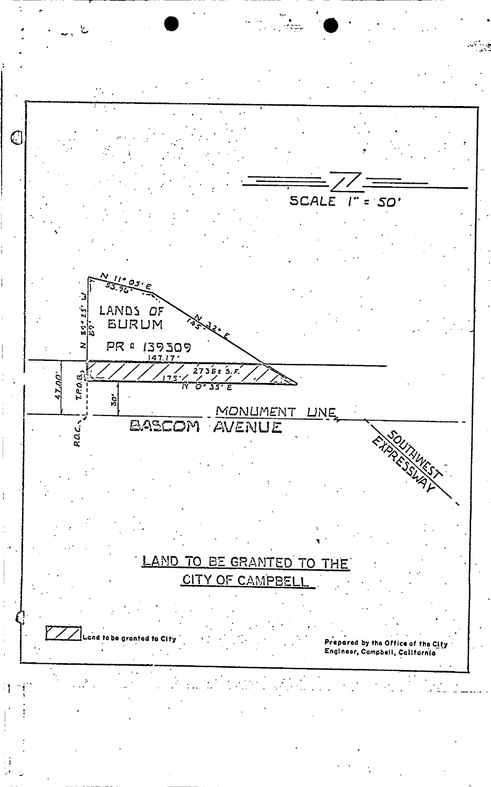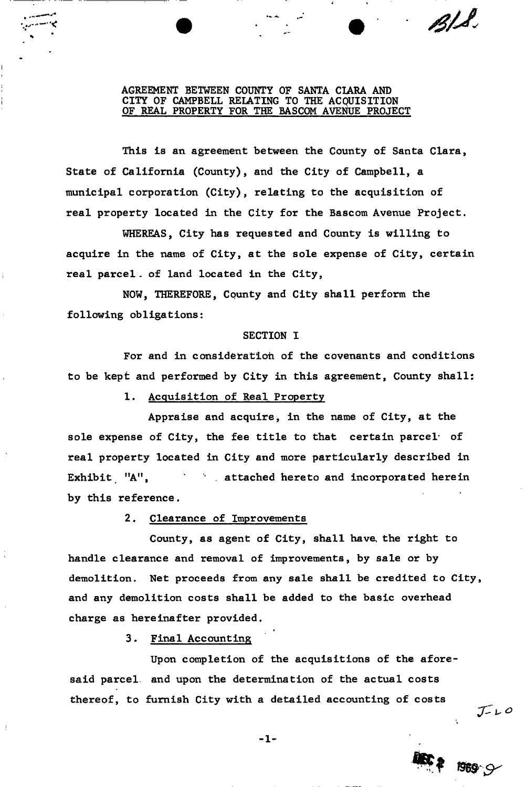## **AGREEMENT BETWEEN COUNTY OF SANTA CIARA AND CITY OF CAMPBELL RELATING TO THE ACQUISITION OF REAL PROPERTY FOR THE BASCOM AVENUE PROJECT**

*S0/J,* 

 $J-L$ 

**This is an agreement between the County of Santa Clara, State of California (County), and the City of Campbell, a municipal corporation (City), relating to the acquisition of real property located in the City for the Bascom Avenue Project.** 

**WHEREAS, City has requested and County is willing to acquire in the name of City, at the sole expense of City, certain real parcel. of land located in the City,** 

**NOW, THEREFORE, County and City shall perform the following obligations:** 

### **SECTION I**

**For and in consideration of the covenants and conditions to be kept and performed by City in this agreement, County shall:** 

**1- Acquisition of Real Property** 

**Appraise and acquire, in the name of City, at the sole expense of City, the fee title to that certain parcel\* of real property located in City and more particularly described in Exhibit "A<sup>11</sup>, . attached hereto and incorporated herein by this reference.** 

**2. Clearance of Improvements** 

**County, as agent of City, shall have, the right to handle clearance and removal of improvements, by sale or by demolition. Net proceeds from any sale shall be credited to City, and any demolition costs shall be added to the basic overhead charge as hereinafter provided.** 

>

**3. Final Accounting** 

**Upon completion of the acquisitions of the aforesaid parcel, and upon the determination of the actual costs thereof, to furnish City with a detailed accounting of costs** 

 $-1-$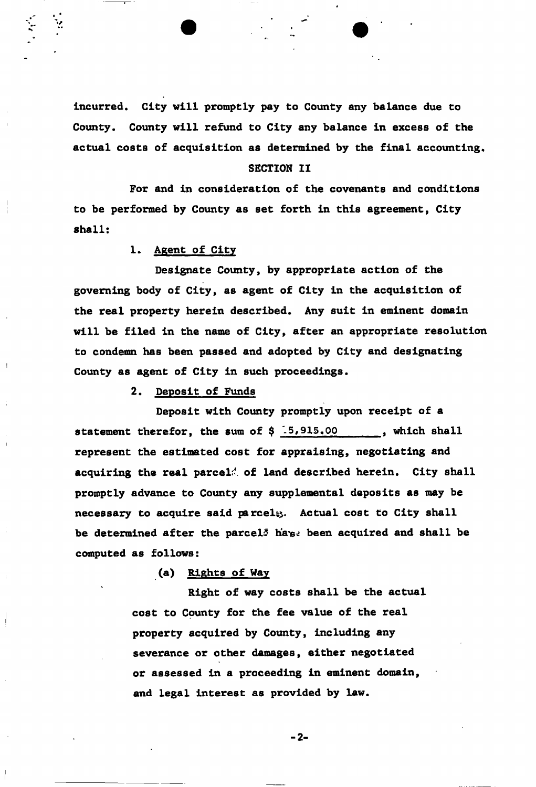**incurred. City will promptly pay to County any balance due to County. County will refund to City any balance in excess of the actual costs of acquisition as determined by the final accounting,** 

# **SECTION II**

**For and in consideration of the covenants and conditions to be performed by County as set forth in this agreement, City shall:** 

## **1. Agent of City**

**Designate County, by appropriate action of the governing body of City, as agent of City in the acquisition of the real property herein described. Any suit in eminent domain will be filed in the name of City, after an appropriate resolution to condemn has been passed and adopted by City and designating County as agent of City in such proceedings.** 

**2. Deposit of Funds** 

**Deposit with County promptly upon receipt of a**  statement therefor, the sum of \$ 15,915.00 , which shall **represent the estimated cost for appraising, negotiating and acquiring the real parcel:' of land described herein. City shall promptly advance to County any supplemental deposits as may be necessary to acquire said parcel^. Actual cost to City shall**  be determined after the parcel<sup>3</sup> ha<sub>184</sub> been acquired and shall be **computed as follows:** 

**(a) Rights of Way** 

**Right of way costs shall be the actual cost to County for the fee value of the real property acquired by County, including any severance or other damages, either negotiated or assessed in a proceeding in eminent domain, and legal interest as provided by law.** 

 $-2-$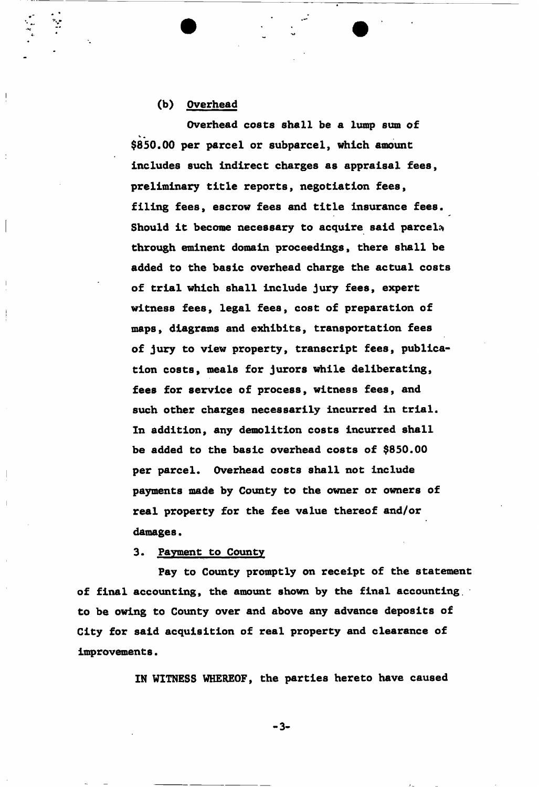# **(b) Overhead**

**Overhead costs shall be a lump sun of \$850.00 per parcel or subparcel, which amount includes such indirect charges as appraisal fees, preliminary title reports, negotiation fees, filing fees, escrow fees and title insurance fees.**  Should it become necessary to acquire said parcela **through eminent domain proceedings, there shall be added to the basic overhead charge the actual costs of trial which shall include jury fees, expert witness fees, legal fees, cost of preparation of maps, diagrams and exhibits, transportation fees of jury to view property, transcript fees, publication costs, meals for jurors while deliberating, fees for service of process, witness fees, and such other charges necessarily incurred in trial. In addition, any demolition costs incurred shall be added to the basic overhead costs of \$850.00 per parcel. Overhead costs shall not include payments made by County to the owner or owners of real property for the fee value thereof and/or**  damages.

**3. Payment to County** 

**Fay to County promptly on receipt of the statement of final accounting, the amount shown by the final accounting, to be owing to County over and above any advance deposits of City for said acquisition of real property and clearance of improvements.** 

**IN WITNESS WHEREOF, the parties hereto have caused** 

**- 3 -**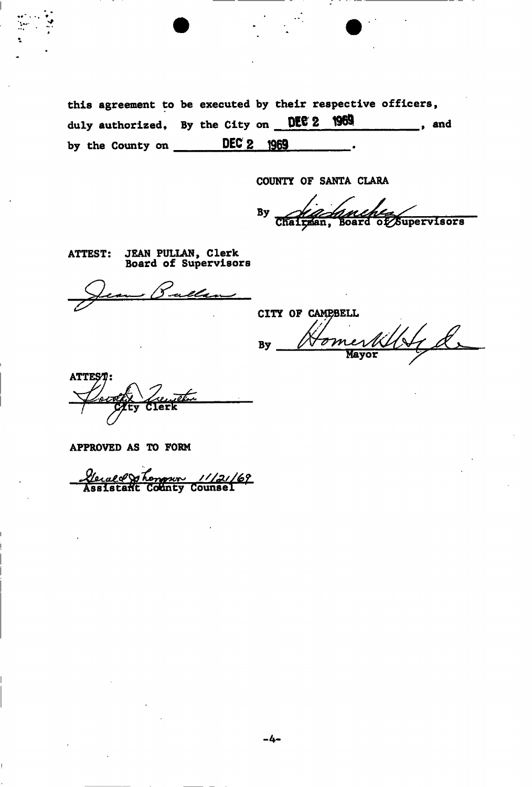this agreement to be executed by their respective officers, duly authorized, By the City on DEC 2 1969  $\frac{1}{\sqrt{1-\frac{1}{2}}}$ , and by the County on DEC 2 1969

COUNTY OF SANTA CLARA

inches By of Supervisors Chairman, **Board** 

JEAN PULLAN, Clerk<br>Board of Supervisors **ATTEST:** 

CITY OF CAMPBELL L  $\overline{\sigma}m$ **By** Mayor

APPROVED AS TO FORM

<u> Leval & Longwr 11/21/69</u><br>Assistant County Counsel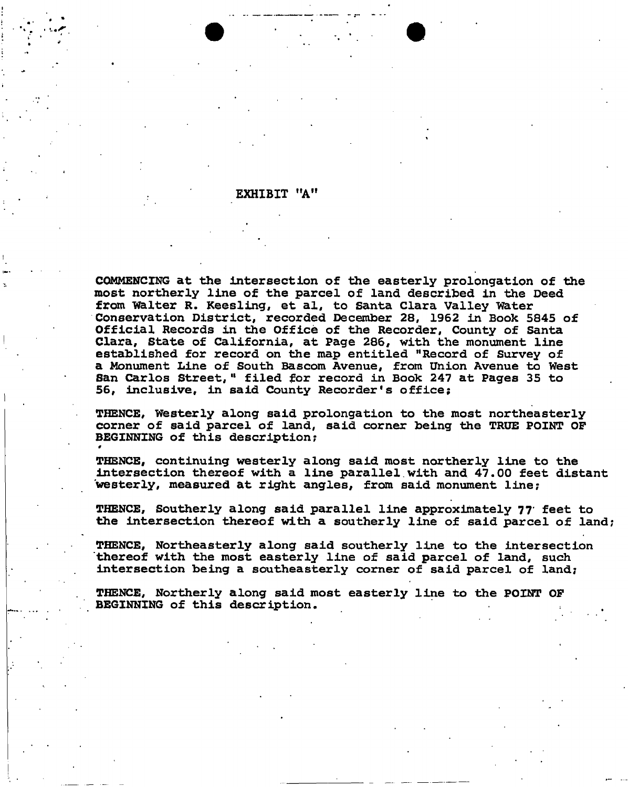**EXHIBIT "A"** 

**COMMENCING at the intersection of the easterly prolongation of the most northerly line of the parcel of land described in the Deed from "Walter R. Keesling, et al, to Santa Clara Valley Water Conservation District, recorded December 28, 1962 in Book 5845 of Official Records in the Office of the Recorder, County of Santa Clara, State of California, at Page 286, with the monument line established for record on the map entitled "Record of Survey of a Monument Line of South Bascom Avenue, from Union Avenue to West San Carlos Street, <sup>11</sup> filed for record in Book 247 at Pages 35 to 56, inclusive, in said County Recorder's office;** 

**THENCE, Westerly along said prolongation to the most northeasterly corner of said parcel of land, said corner being the TRUE POINT OF**  BEGINNING of this description;

**THENCE, continuing westerly along said most northerly line to the intersection thereof with a line parallel.with and 47.00 feet distant 'westerly, measured at right angles, from said monument line;** 

**THENCE, Southerly along said parallel line approximately 77' feet to the intersection thereof with a southerly line of said parcel of land;** 

**THENCE, Northeasterly along said southerly line to the intersection "thereof with the most easterly line of said parcel of land, such intersection being a southeasterly corner of said parcel of land;** 

**THENCE, Northerly along said most easterly line to the POINT OF BEGINNING of this description.**